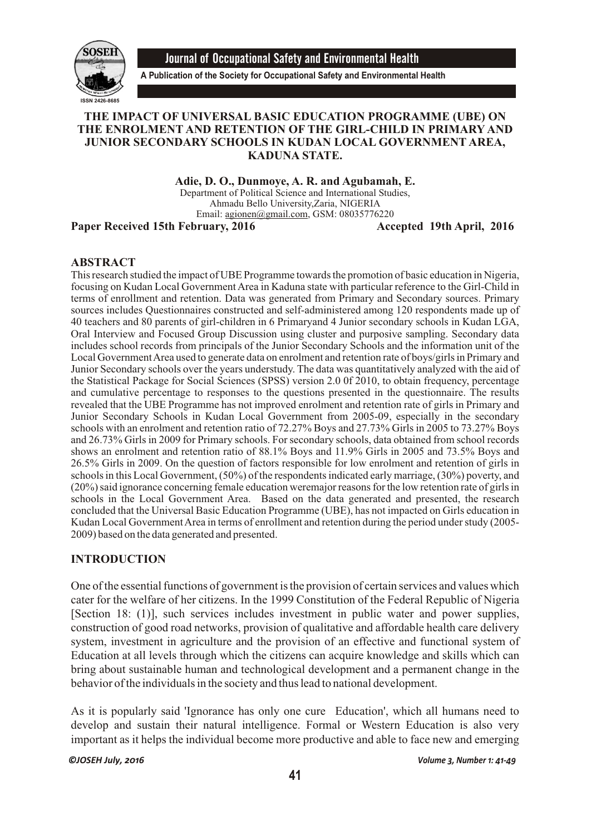

Journal of Occupational Safety and Environmental Health

**A Publication of the Society for Occupational Safety and Environmental Health**

### **THE IMPACT OF UNIVERSAL BASIC EDUCATION PROGRAMME (UBE) ON THE ENROLMENT AND RETENTION OF THE GIRL-CHILD IN PRIMARY AND JUNIOR SECONDARY SCHOOLS IN KUDAN LOCAL GOVERNMENT AREA, KADUNA STATE.**

**Adie, D. O., Dunmoye, A. R. and Agubamah, E.** Department of Political Science and International Studies, Ahmadu Bello University,Zaria, NIGERIA Email: agionen@gmail.com, GSM: 08035776220

Paper Received 15th February, 2016 **Accepted 19th April, 2016** 

### **ABSTRACT**

This research studied the impact of UBE Programme towards the promotion of basic education in Nigeria, focusing on Kudan Local Government Area in Kaduna state with particular reference to the Girl-Child in terms of enrollment and retention. Data was generated from Primary and Secondary sources. Primary sources includes Questionnaires constructed and self-administered among 120 respondents made up of 40 teachers and 80 parents of girl-children in 6 Primaryand 4 Junior secondary schools in Kudan LGA, Oral Interview and Focused Group Discussion using cluster and purposive sampling. Secondary data includes school records from principals of the Junior Secondary Schools and the information unit of the Local Government Area used to generate data on enrolment and retention rate of boys/girls in Primary and Junior Secondary schools over the years understudy. The data was quantitatively analyzed with the aid of the Statistical Package for Social Sciences (SPSS) version 2.0 0f 2010, to obtain frequency, percentage and cumulative percentage to responses to the questions presented in the questionnaire. The results revealed that the UBE Programme has not improved enrolment and retention rate of girls in Primary and Junior Secondary Schools in Kudan Local Government from 2005-09, especially in the secondary schools with an enrolment and retention ratio of 72.27% Boys and 27.73% Girls in 2005 to 73.27% Boys and 26.73% Girls in 2009 for Primary schools. For secondary schools, data obtained from school records shows an enrolment and retention ratio of 88.1% Boys and 11.9% Girls in 2005 and 73.5% Boys and 26.5% Girls in 2009. On the question of factors responsible for low enrolment and retention of girls in schools in this Local Government, (50%) of the respondents indicated early marriage, (30%) poverty, and (20%) said ignorance concerning female education weremajor reasons for the low retention rate of girls in schools in the Local Government Area. Based on the data generated and presented, the research concluded that the Universal Basic Education Programme (UBE), has not impacted on Girls education in Kudan Local Government Area in terms of enrollment and retention during the period under study (2005- 2009) based on the data generated and presented.

### **INTRODUCTION**

One of the essential functions of government is the provision of certain services and values which cater for the welfare of her citizens. In the 1999 Constitution of the Federal Republic of Nigeria [Section 18: (1)], such services includes investment in public water and power supplies, construction of good road networks, provision of qualitative and affordable health care delivery system, investment in agriculture and the provision of an effective and functional system of Education at all levels through which the citizens can acquire knowledge and skills which can bring about sustainable human and technological development and a permanent change in the behavior of the individuals in the society and thus lead to national development.

As it is popularly said 'Ignorance has only one cure Education', which all humans need to develop and sustain their natural intelligence. Formal or Western Education is also very important as it helps the individual become more productive and able to face new and emerging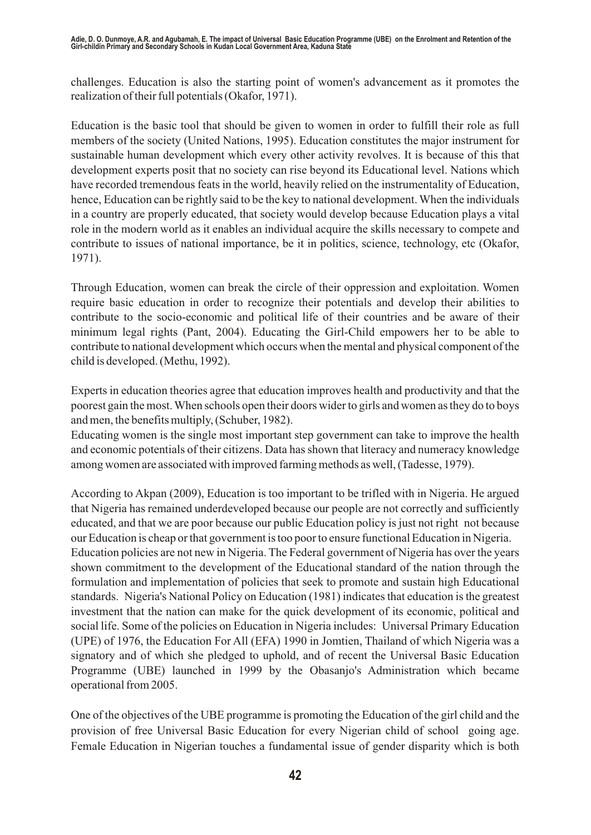challenges. Education is also the starting point of women's advancement as it promotes the realization of their full potentials (Okafor, 1971).

Education is the basic tool that should be given to women in order to fulfill their role as full members of the society (United Nations, 1995). Education constitutes the major instrument for sustainable human development which every other activity revolves. It is because of this that development experts posit that no society can rise beyond its Educational level. Nations which have recorded tremendous feats in the world, heavily relied on the instrumentality of Education, hence, Education can be rightly said to be the key to national development. When the individuals in a country are properly educated, that society would develop because Education plays a vital role in the modern world as it enables an individual acquire the skills necessary to compete and contribute to issues of national importance, be it in politics, science, technology, etc (Okafor, 1971).

Through Education, women can break the circle of their oppression and exploitation. Women require basic education in order to recognize their potentials and develop their abilities to contribute to the socio-economic and political life of their countries and be aware of their minimum legal rights (Pant, 2004). Educating the Girl-Child empowers her to be able to contribute to national development which occurs when the mental and physical component of the child is developed. (Methu, 1992).

Experts in education theories agree that education improves health and productivity and that the poorest gain the most. When schools open their doors wider to girls and women as they do to boys and men, the benefits multiply, (Schuber, 1982).

Educating women is the single most important step government can take to improve the health and economic potentials of their citizens. Data has shown that literacy and numeracy knowledge among women are associated with improved farming methods as well, (Tadesse, 1979).

According to Akpan (2009), Education is too important to be trifled with in Nigeria. He argued that Nigeria has remained underdeveloped because our people are not correctly and sufficiently educated, and that we are poor because our public Education policy is just not right not because our Education is cheap or that government is too poor to ensure functional Education in Nigeria. Education policies are not new in Nigeria. The Federal government of Nigeria has over the years shown commitment to the development of the Educational standard of the nation through the formulation and implementation of policies that seek to promote and sustain high Educational standards. Nigeria's National Policy on Education (1981) indicates that education is the greatest investment that the nation can make for the quick development of its economic, political and social life. Some of the policies on Education in Nigeria includes: Universal Primary Education (UPE) of 1976, the Education For All (EFA) 1990 in Jomtien, Thailand of which Nigeria was a signatory and of which she pledged to uphold, and of recent the Universal Basic Education Programme (UBE) launched in 1999 by the Obasanjo's Administration which became operational from 2005.

One of the objectives of the UBE programme is promoting the Education of the girl child and the provision of free Universal Basic Education for every Nigerian child of school going age. Female Education in Nigerian touches a fundamental issue of gender disparity which is both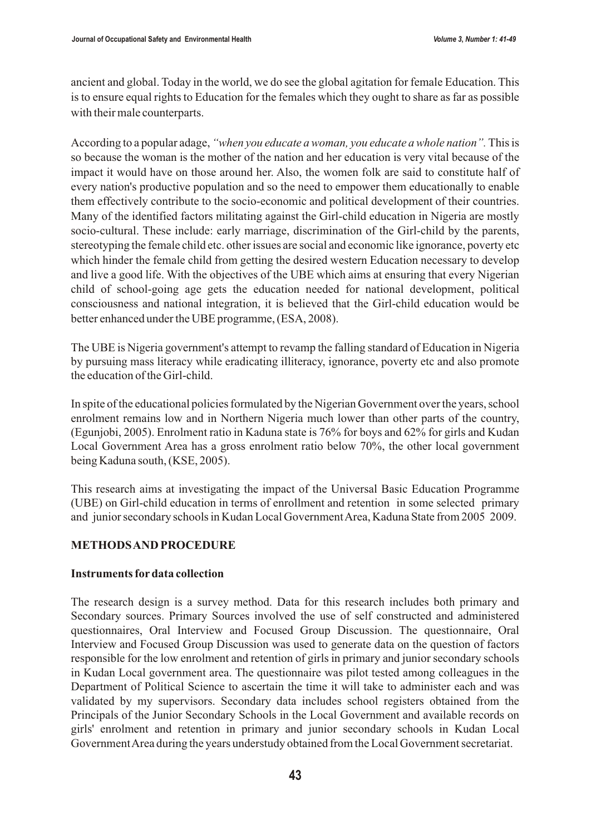ancient and global. Today in the world, we do see the global agitation for female Education. This is to ensure equal rights to Education for the females which they ought to share as far as possible with their male counterparts.

According to a popular adage, *"when you educate a woman, you educate a whole nation".* This is so because the woman is the mother of the nation and her education is very vital because of the impact it would have on those around her. Also, the women folk are said to constitute half of every nation's productive population and so the need to empower them educationally to enable them effectively contribute to the socio-economic and political development of their countries. Many of the identified factors militating against the Girl-child education in Nigeria are mostly socio-cultural. These include: early marriage, discrimination of the Girl-child by the parents, stereotyping the female child etc. other issues are social and economic like ignorance, poverty etc which hinder the female child from getting the desired western Education necessary to develop and live a good life. With the objectives of the UBE which aims at ensuring that every Nigerian child of school-going age gets the education needed for national development, political consciousness and national integration, it is believed that the Girl-child education would be better enhanced under the UBE programme, (ESA, 2008).

The UBE is Nigeria government's attempt to revamp the falling standard of Education in Nigeria by pursuing mass literacy while eradicating illiteracy, ignorance, poverty etc and also promote the education of the Girl-child.

In spite of the educational policies formulated by the Nigerian Government over the years, school enrolment remains low and in Northern Nigeria much lower than other parts of the country, (Egunjobi, 2005). Enrolment ratio in Kaduna state is 76% for boys and 62% for girls and Kudan Local Government Area has a gross enrolment ratio below 70%, the other local government being Kaduna south, (KSE, 2005).

This research aims at investigating the impact of the Universal Basic Education Programme (UBE) on Girl-child education in terms of enrollment and retention in some selected primary and junior secondary schools in Kudan Local Government Area, Kaduna State from 2005 2009.

### **METHODS AND PROCEDURE**

### **Instruments for data collection**

The research design is a survey method. Data for this research includes both primary and Secondary sources. Primary Sources involved the use of self constructed and administered questionnaires, Oral Interview and Focused Group Discussion. The questionnaire, Oral Interview and Focused Group Discussion was used to generate data on the question of factors responsible for the low enrolment and retention of girls in primary and junior secondary schools in Kudan Local government area. The questionnaire was pilot tested among colleagues in the Department of Political Science to ascertain the time it will take to administer each and was validated by my supervisors. Secondary data includes school registers obtained from the Principals of the Junior Secondary Schools in the Local Government and available records on girls' enrolment and retention in primary and junior secondary schools in Kudan Local Government Area during the years understudy obtained from the Local Government secretariat.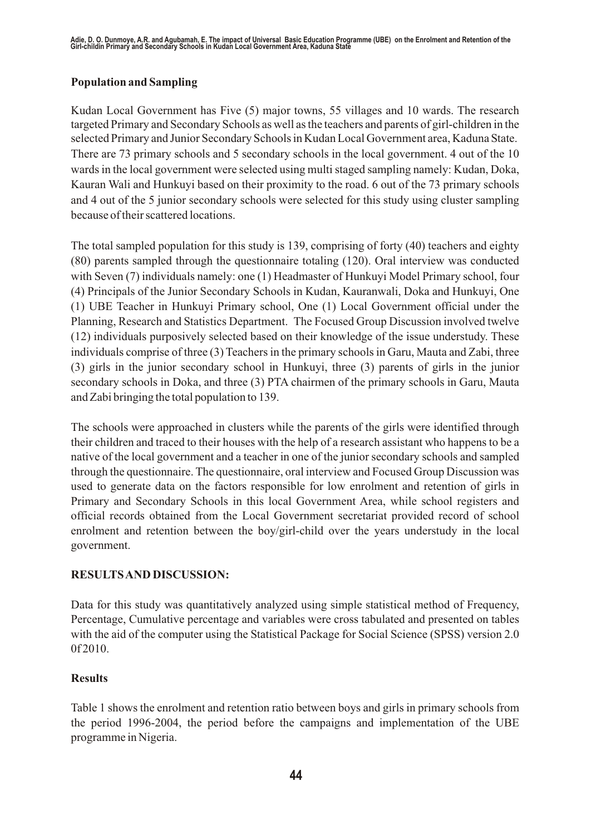# **Population and Sampling**

Kudan Local Government has Five (5) major towns, 55 villages and 10 wards. The research targeted Primary and Secondary Schools as well as the teachers and parents of girl-children in the selected Primary and Junior Secondary Schools in Kudan Local Government area, Kaduna State. There are 73 primary schools and 5 secondary schools in the local government. 4 out of the 10 wards in the local government were selected using multi staged sampling namely: Kudan, Doka, Kauran Wali and Hunkuyi based on their proximity to the road. 6 out of the 73 primary schools and 4 out of the 5 junior secondary schools were selected for this study using cluster sampling because of their scattered locations.

The total sampled population for this study is 139, comprising of forty (40) teachers and eighty (80) parents sampled through the questionnaire totaling (120). Oral interview was conducted with Seven (7) individuals namely: one (1) Headmaster of Hunkuyi Model Primary school, four (4) Principals of the Junior Secondary Schools in Kudan, Kauranwali, Doka and Hunkuyi, One (1) UBE Teacher in Hunkuyi Primary school, One (1) Local Government official under the Planning, Research and Statistics Department. The Focused Group Discussion involved twelve (12) individuals purposively selected based on their knowledge of the issue understudy. These individuals comprise of three (3) Teachers in the primary schools in Garu, Mauta and Zabi, three (3) girls in the junior secondary school in Hunkuyi, three (3) parents of girls in the junior secondary schools in Doka, and three (3) PTA chairmen of the primary schools in Garu, Mauta and Zabi bringing the total population to 139.

The schools were approached in clusters while the parents of the girls were identified through their children and traced to their houses with the help of a research assistant who happens to be a native of the local government and a teacher in one of the junior secondary schools and sampled through the questionnaire. The questionnaire, oral interview and Focused Group Discussion was used to generate data on the factors responsible for low enrolment and retention of girls in Primary and Secondary Schools in this local Government Area, while school registers and official records obtained from the Local Government secretariat provided record of school enrolment and retention between the boy/girl-child over the years understudy in the local government.

# **RESULTS AND DISCUSSION:**

Data for this study was quantitatively analyzed using simple statistical method of Frequency, Percentage, Cumulative percentage and variables were cross tabulated and presented on tables with the aid of the computer using the Statistical Package for Social Science (SPSS) version 2.0 0f 2010.

# **Results**

Table 1 shows the enrolment and retention ratio between boys and girls in primary schools from the period 1996-2004, the period before the campaigns and implementation of the UBE programme in Nigeria.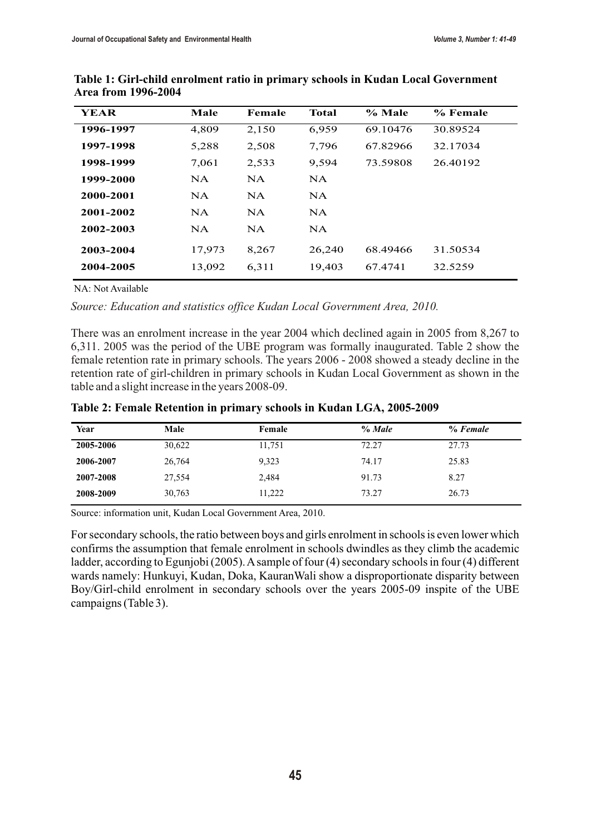| <b>YEAR</b> | Male      | Female    | Total     | % Male   | % Female |
|-------------|-----------|-----------|-----------|----------|----------|
| 1996-1997   | 4,809     | 2,150     | 6,959     | 69.10476 | 30.89524 |
| 1997-1998   | 5,288     | 2,508     | 7,796     | 67.82966 | 32.17034 |
| 1998-1999   | 7,061     | 2,533     | 9,594     | 73.59808 | 26.40192 |
| 1999-2000   | NA.       | NA.       | <b>NA</b> |          |          |
| 2000-2001   | <b>NA</b> | <b>NA</b> | <b>NA</b> |          |          |
| 2001-2002   | <b>NA</b> | NA.       | <b>NA</b> |          |          |
| 2002-2003   | NA.       | NA.       | <b>NA</b> |          |          |
| 2003-2004   | 17,973    | 8,267     | 26,240    | 68.49466 | 31.50534 |
| 2004-2005   | 13,092    | 6,311     | 19,403    | 67.4741  | 32.5259  |

**Table 1: Girl-child enrolment ratio in primary schools in Kudan Local Government Area from 1996-2004**

NA: Not Available

*Source: Education and statistics office Kudan Local Government Area, 2010.*

There was an enrolment increase in the year 2004 which declined again in 2005 from 8,267 to 6,311. 2005 was the period of the UBE program was formally inaugurated. Table 2 show the female retention rate in primary schools. The years 2006 - 2008 showed a steady decline in the retention rate of girl-children in primary schools in Kudan Local Government as shown in the table and a slight increase in the years 2008-09.

| Year      | Male   | Female | $\%$ Male | $\%$ Female |
|-----------|--------|--------|-----------|-------------|
| 2005-2006 | 30,622 | 11,751 | 72.27     | 27.73       |
| 2006-2007 | 26,764 | 9,323  | 74.17     | 25.83       |
| 2007-2008 | 27,554 | 2,484  | 91.73     | 8.27        |
| 2008-2009 | 30,763 | 11,222 | 73.27     | 26.73       |

Source: information unit, Kudan Local Government Area, 2010.

For secondary schools, the ratio between boys and girls enrolment in schools is even lower which confirms the assumption that female enrolment in schools dwindles as they climb the academic ladder, according to Egunjobi (2005). A sample of four (4) secondary schools in four (4) different wards namely: Hunkuyi, Kudan, Doka, KauranWali show a disproportionate disparity between Boy/Girl-child enrolment in secondary schools over the years 2005-09 inspite of the UBE campaigns (Table 3).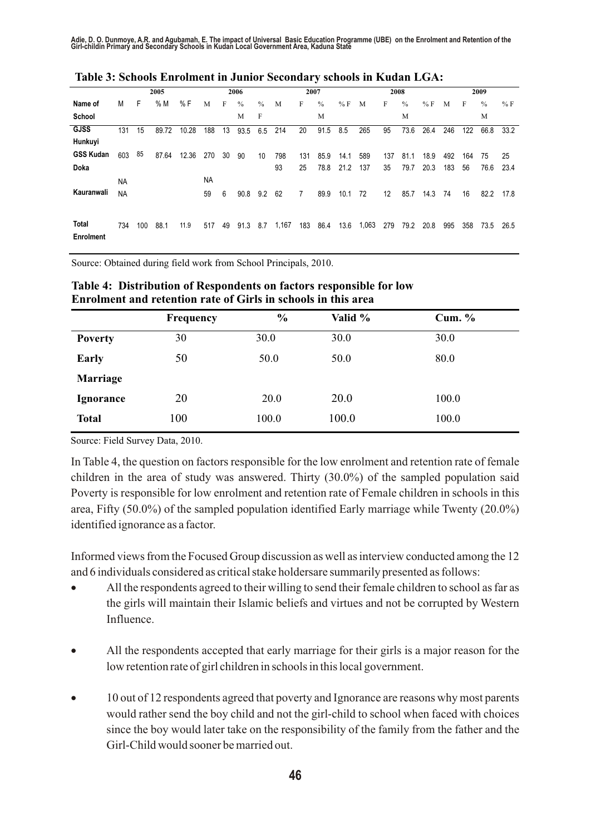Adie, D. O. Dunmoye, A.R. and Agubamah, E. The impact of Universal Basic Education Programme (UBE) on the Enrolment and Retention of the<br>Girl-childin Primary and Secondary Schools in Kudan Local Government Area, Kaduna S

|                           |           |     | 2005  |       |     |    | 2006 |               |       | 2007 |               |      |      | 2008 |               |      |     |     | 2009 |      |
|---------------------------|-----------|-----|-------|-------|-----|----|------|---------------|-------|------|---------------|------|------|------|---------------|------|-----|-----|------|------|
| Name of                   | M         | F   | %M    | % F   | M   | F  | $\%$ | $\frac{0}{0}$ | M     | F    | $\frac{0}{0}$ | %F   | M    | F    | $\frac{0}{0}$ | %F   | M   | F   | $\%$ | %F   |
| School                    |           |     |       |       |     |    | M    | F             |       |      | M             |      |      |      | M             |      |     |     | M    |      |
| <b>GJSS</b>               | 131       | 15  | 89.72 | 10.28 | 188 | 13 | 93.5 | 6.5           | 214   | 20   | 91.5          | 8.5  | 265  | 95   | 73.6          | 26.4 | 246 | 122 | 66.8 | 33.2 |
| Hunkuyi                   |           |     |       |       |     |    |      |               |       |      |               |      |      |      |               |      |     |     |      |      |
| <b>GSS Kudan</b>          | 603       | 85  | 87.64 | 12.36 | 270 | 30 | 90   | 10            | 798   | 131  | 85.9          | 14.1 | 589  | 137  | 81.1          | 18.9 | 492 | 164 | 75   | 25   |
| Doka                      |           |     |       |       |     |    |      |               | 93    | 25   | 78.8          | 21.2 | 137  | 35   | 79.7          | 20.3 | 183 | 56  | 76.6 | 23.4 |
|                           | <b>NA</b> |     |       |       | NA  |    |      |               |       |      |               |      |      |      |               |      |     |     |      |      |
| Kauranwali                | <b>NA</b> |     |       |       | 59  | 6  | 90.8 | 9.2           | 62    | 7    | 89.9          | 10.1 | 72   | 12   | 85.7          | 14.3 | 74  | 16  | 82.2 | 17.8 |
|                           |           |     |       |       |     |    |      |               |       |      |               |      |      |      |               |      |     |     |      |      |
| Total<br><b>Enrolment</b> | 734       | 100 | 88.1  | 11.9  | 517 | 49 | 91.3 | 8.7           | 1,167 | 183  | 86.4          | 13.6 | .063 | 279  | 79.2          | 20.8 | 995 | 358 | 73.5 | 26.5 |

Source: Obtained during field work from School Principals, 2010.

| <b>Frequency</b> | $\frac{6}{9}$ | Valid % | Cum. $%$ |  |  |
|------------------|---------------|---------|----------|--|--|
| 30               | 30.0          | 30.0    | 30.0     |  |  |
| 50               | 50.0          | 50.0    | 80.0     |  |  |
|                  |               |         |          |  |  |
| 20               | <b>20.0</b>   | 20.0    | 100.0    |  |  |
| 100              | 100.0         | 100.0   | 100.0    |  |  |
|                  |               |         |          |  |  |

**Table 4: Distribution of Respondents on factors responsible for low Enrolment and retention rate of Girls in schools in this area**

Source: Field Survey Data, 2010.

In Table 4, the question on factors responsible for the low enrolment and retention rate of female children in the area of study was answered. Thirty (30.0%) of the sampled population said Poverty is responsible for low enrolment and retention rate of Female children in schools in this area, Fifty (50.0%) of the sampled population identified Early marriage while Twenty (20.0%) identified ignorance as a factor.

Informed views from the Focused Group discussion as well as interview conducted among the 12 and 6 individuals considered as critical stake holdersare summarily presented as follows:

All the respondents agreed to their willing to send their female children to school as far as the girls will maintain their Islamic beliefs and virtues and not be corrupted by Western Influence.

All the respondents accepted that early marriage for their girls is a major reason for the low retention rate of girl children in schools in this local government.

10 out of 12 respondents agreed that poverty and Ignorance are reasons why most parents would rather send the boy child and not the girl-child to school when faced with choices since the boy would later take on the responsibility of the family from the father and the Girl-Child would sooner be married out.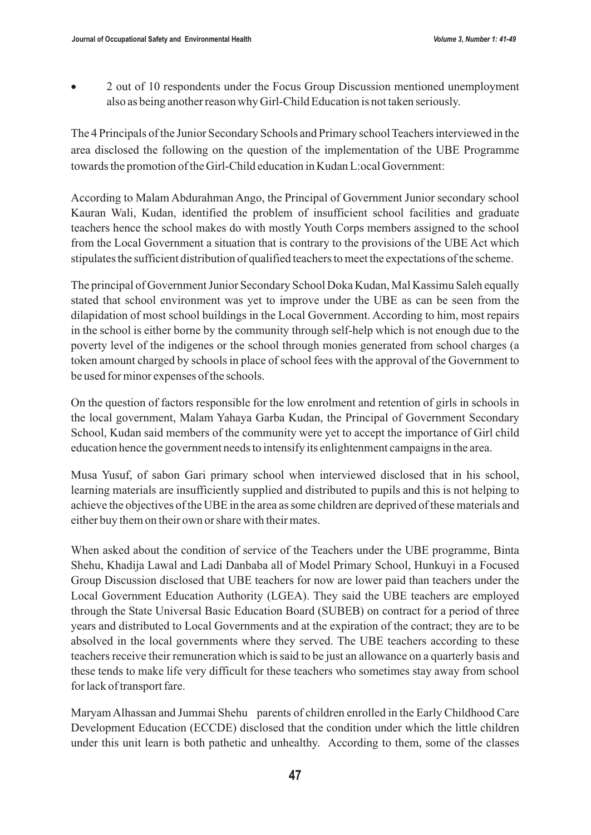2 out of 10 respondents under the Focus Group Discussion mentioned unemployment also as being another reason why Girl-Child Education is not taken seriously.

The 4 Principals of the Junior Secondary Schools and Primary school Teachers interviewed in the area disclosed the following on the question of the implementation of the UBE Programme towards the promotion of the Girl-Child education in Kudan L:ocal Government:

According to Malam Abdurahman Ango, the Principal of Government Junior secondary school Kauran Wali, Kudan, identified the problem of insufficient school facilities and graduate teachers hence the school makes do with mostly Youth Corps members assigned to the school from the Local Government a situation that is contrary to the provisions of the UBE Act which stipulates the sufficient distribution of qualified teachers to meet the expectations of the scheme.

The principal of Government Junior Secondary School Doka Kudan, Mal Kassimu Saleh equally stated that school environment was yet to improve under the UBE as can be seen from the dilapidation of most school buildings in the Local Government. According to him, most repairs in the school is either borne by the community through self-help which is not enough due to the poverty level of the indigenes or the school through monies generated from school charges (a token amount charged by schools in place of school fees with the approval of the Government to be used for minor expenses of the schools.

On the question of factors responsible for the low enrolment and retention of girls in schools in the local government, Malam Yahaya Garba Kudan, the Principal of Government Secondary School, Kudan said members of the community were yet to accept the importance of Girl child education hence the government needs to intensify its enlightenment campaigns in the area.

Musa Yusuf, of sabon Gari primary school when interviewed disclosed that in his school, learning materials are insufficiently supplied and distributed to pupils and this is not helping to achieve the objectives of the UBE in the area as some children are deprived of these materials and either buy them on their own or share with their mates.

When asked about the condition of service of the Teachers under the UBE programme, Binta Shehu, Khadija Lawal and Ladi Danbaba all of Model Primary School, Hunkuyi in a Focused Group Discussion disclosed that UBE teachers for now are lower paid than teachers under the Local Government Education Authority (LGEA). They said the UBE teachers are employed through the State Universal Basic Education Board (SUBEB) on contract for a period of three years and distributed to Local Governments and at the expiration of the contract; they are to be absolved in the local governments where they served. The UBE teachers according to these teachers receive their remuneration which is said to be just an allowance on a quarterly basis and these tends to make life very difficult for these teachers who sometimes stay away from school for lack of transport fare.

Maryam Alhassan and Jummai Shehu parents of children enrolled in the Early Childhood Care Development Education (ECCDE) disclosed that the condition under which the little children under this unit learn is both pathetic and unhealthy. According to them, some of the classes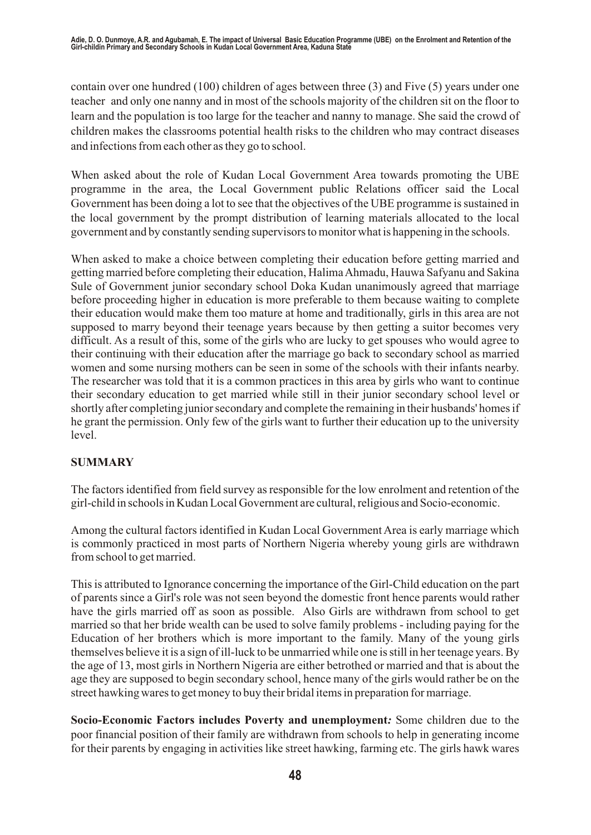contain over one hundred (100) children of ages between three (3) and Five (5) years under one teacher and only one nanny and in most of the schools majority of the children sit on the floor to learn and the population is too large for the teacher and nanny to manage. She said the crowd of children makes the classrooms potential health risks to the children who may contract diseases and infections from each other as they go to school.

When asked about the role of Kudan Local Government Area towards promoting the UBE programme in the area, the Local Government public Relations officer said the Local Government has been doing a lot to see that the objectives of the UBE programme is sustained in the local government by the prompt distribution of learning materials allocated to the local government and by constantly sending supervisors to monitor what is happening in the schools.

When asked to make a choice between completing their education before getting married and getting married before completing their education, Halima Ahmadu, Hauwa Safyanu and Sakina Sule of Government junior secondary school Doka Kudan unanimously agreed that marriage before proceeding higher in education is more preferable to them because waiting to complete their education would make them too mature at home and traditionally, girls in this area are not supposed to marry beyond their teenage years because by then getting a suitor becomes very difficult. As a result of this, some of the girls who are lucky to get spouses who would agree to their continuing with their education after the marriage go back to secondary school as married women and some nursing mothers can be seen in some of the schools with their infants nearby. The researcher was told that it is a common practices in this area by girls who want to continue their secondary education to get married while still in their junior secondary school level or shortly after completing junior secondary and complete the remaining in their husbands' homes if he grant the permission. Only few of the girls want to further their education up to the university level.

# **SUMMARY**

The factors identified from field survey as responsible for the low enrolment and retention of the girl-child in schools in Kudan Local Government are cultural, religious and Socio-economic.

Among the cultural factors identified in Kudan Local Government Area is early marriage which is commonly practiced in most parts of Northern Nigeria whereby young girls are withdrawn from school to get married.

This is attributed to Ignorance concerning the importance of the Girl-Child education on the part of parents since a Girl's role was not seen beyond the domestic front hence parents would rather have the girls married off as soon as possible. Also Girls are withdrawn from school to get married so that her bride wealth can be used to solve family problems - including paying for the Education of her brothers which is more important to the family. Many of the young girls themselves believe it is a sign of ill-luck to be unmarried while one is still in her teenage years. By the age of 13, most girls in Northern Nigeria are either betrothed or married and that is about the age they are supposed to begin secondary school, hence many of the girls would rather be on the street hawking wares to get money to buy their bridal items in preparation for marriage.

**Socio-Economic Factors includes Poverty and unemployment***:* Some children due to the poor financial position of their family are withdrawn from schools to help in generating income for their parents by engaging in activities like street hawking, farming etc. The girls hawk wares